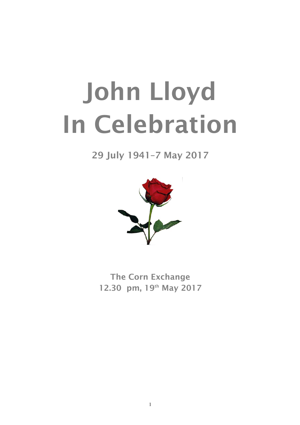# John Lloyd In Celebration

29 July 1941–7 May 2017



The Corn Exchange 12.30 pm, 19<sup>th</sup> May 2017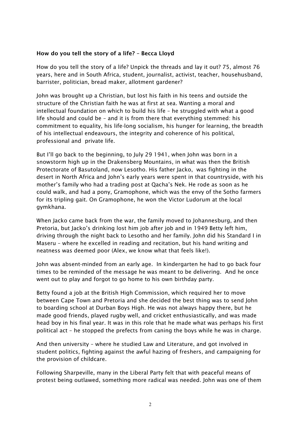## How do you tell the story of a life? – Becca Lloyd

How do you tell the story of a life? Unpick the threads and lay it out? 75, almost 76 years, here and in South Africa, student, journalist, activist, teacher, househusband, barrister, politician, bread maker, allotment gardener?

John was brought up a Christian, but lost his faith in his teens and outside the structure of the Christian faith he was at first at sea. Wanting a moral and intellectual foundation on which to build his life – he struggled with what a good life should and could be – and it is from there that everything stemmed: his commitment to equality, his life-long socialism, his hunger for learning, the breadth of his intellectual endeavours, the integrity and coherence of his political, professional and private life.

But I'll go back to the beginning, to July 29 1941, when John was born in a snowstorm high up in the Drakensberg Mountains, in what was then the British Protectorate of Basutoland, now Lesotho. His father Jacko, was fighting in the desert in North Africa and John's early years were spent in that countryside, with his mother's family who had a trading post at Qacha's Nek. He rode as soon as he could walk, and had a pony, Gramophone, which was the envy of the Sotho farmers for its tripling gait. On Gramophone, he won the Victor Ludorum at the local gymkhana.

When Jacko came back from the war, the family moved to Johannesburg, and then Pretoria, but Jacko's drinking lost him job after job and in 1949 Betty left him, driving through the night back to Lesotho and her family. John did his Standard I in Maseru – where he excelled in reading and recitation, but his hand writing and neatness was deemed poor (Alex, we know what that feels like!).

John was absent-minded from an early age. In kindergarten he had to go back four times to be reminded of the message he was meant to be delivering. And he once went out to play and forgot to go home to his own birthday party.

Betty found a job at the British High Commission, which required her to move between Cape Town and Pretoria and she decided the best thing was to send John to boarding school at Durban Boys High. He was not always happy there, but he made good friends, played rugby well, and cricket enthusiastically, and was made head boy in his final year. It was in this role that he made what was perhaps his first political act – he stopped the prefects from caning the boys while he was in charge.

And then university – where he studied Law and Literature, and got involved in student politics, fighting against the awful hazing of freshers, and campaigning for the provision of childcare.

Following Sharpeville, many in the Liberal Party felt that with peaceful means of protest being outlawed, something more radical was needed. John was one of them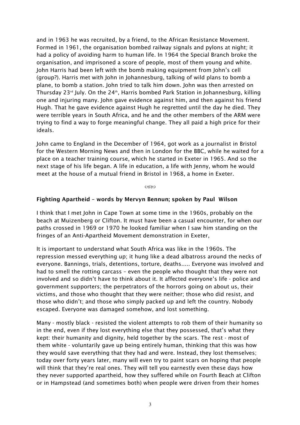and in 1963 he was recruited, by a friend, to the African Resistance Movement. Formed in 1961, the organisation bombed railway signals and pylons at night; it had a policy of avoiding harm to human life. In 1964 the Special Branch broke the organisation, and imprisoned a score of people, most of them young and white. John Harris had been left with the bomb making equipment from John's cell (group?). Harris met with John in Johannesburg, talking of wild plans to bomb a plane, to bomb a station. John tried to talk him down. John was then arrested on Thursday 23<sup>rd</sup> July. On the 24<sup>th</sup>, Harris bombed Park Station in Johannesburg, killing one and injuring many. John gave evidence against him, and then against his friend Hugh. That he gave evidence against Hugh he regretted until the day he died. They were terrible years in South Africa, and he and the other members of the ARM were trying to find a way to forge meaningful change. They all paid a high price for their ideals.

John came to England in the December of 1964, got work as a journalist in Bristol for the Western Morning News and then in London for the BBC, while he waited for a place on a teacher training course, which he started in Exeter in 1965. And so the next stage of his life began. A life in education, a life with Jenny, whom he would meet at the house of a mutual friend in Bristol in 1968, a home in Exeter.

Control

### Fighting Apartheid – words by Mervyn Bennun; spoken by Paul Wilson

I think that I met John in Cape Town at some time in the 1960s, probably on the beach at Muizenberg or Clifton. It must have been a casual encounter, for when our paths crossed in 1969 or 1970 he looked familiar when I saw him standing on the fringes of an Anti-Apartheid Movement demonstration in Exeter,

It is important to understand what South Africa was like in the 1960s. The repression messed everything up; it hung like a dead albatross around the necks of everyone. Bannings, trials, detentions, torture, deaths..... Everyone was involved and had to smell the rotting carcass – even the people who thought that they were not involved and so didn't have to think about it. It affected everyone's life - police and government supporters; the perpetrators of the horrors going on about us, their victims, and those who thought that they were neither; those who did resist, and those who didn't; and those who simply packed up and left the country. Nobody escaped. Everyone was damaged somehow, and lost something.

Many - mostly black - resisted the violent attempts to rob them of their humanity so in the end, even if they lost everything else that they possessed, that's what they kept: their humanity and dignity, held together by the scars. The rest - most of them white - voluntarily gave up being entirely human, thinking that this was how they would save everything that they had and were. Instead, they lost themselves; today over forty years later, many will even try to paint scars on hoping that people will think that they're real ones. They will tell you earnestly even these days how they never supported apartheid, how they suffered while on Fourth Beach at Clifton or in Hampstead (and sometimes both) when people were driven from their homes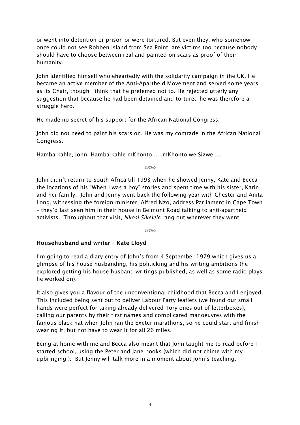or went into detention or prison or were tortured. But even they, who somehow once could not see Robben Island from Sea Point, are victims too because nobody should have to choose between real and painted-on scars as proof of their humanity.

John identified himself wholeheartedly with the solidarity campaign in the UK. He became an active member of the Anti-Apartheid Movement and served some years as its Chair, though I think that he preferred not to. He rejected utterly any suggestion that because he had been detained and tortured he was therefore a struggle hero.

He made no secret of his support for the African National Congress.

John did not need to paint his scars on. He was my comrade in the African National Congress.

Hamba kahle, John. Hamba kahle mKhonto......mKhonto we Sizwe.....

 $C380$ 

John didn't return to South Africa till 1993 when he showed Jenny, Kate and Becca the locations of his "When I was a boy" stories and spent time with his sister, Karin, and her family. John and Jenny went back the following year with Chester and Anita Long, witnessing the foreign minister, Alfred Nzo, address Parliament in Cape Town – they'd last seen him in their house in Belmont Road talking to anti-apartheid activists. Throughout that visit, *Nkosi Sikelele* rang out wherever they went.

(**aZSe**)

# Househusband and writer – Kate Lloyd

I'm going to read a diary entry of John's from 4 September 1979 which gives us a glimpse of his house husbanding, his politicking and his writing ambitions (he explored getting his house husband writings published, as well as some radio plays he worked on).

It also gives you a flavour of the unconventional childhood that Becca and I enjoyed. This included being sent out to deliver Labour Party leaflets (we found our small hands were perfect for taking already-delivered Tory ones out of letterboxes), calling our parents by their first names and complicated manoeuvres with the famous black hat when John ran the Exeter marathons, so he could start and finish wearing it, but not have to wear it for all 26 miles.

Being at home with me and Becca also meant that John taught me to read before I started school, using the Peter and Jane books (which did not chime with my upbringing!). But Jenny will talk more in a moment about John's teaching.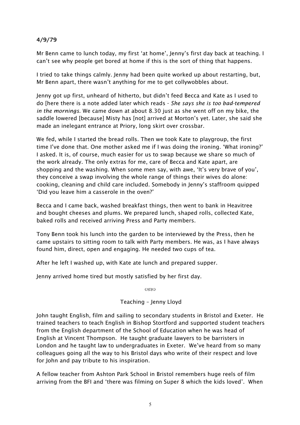# 4/9/79

Mr Benn came to lunch today, my first 'at home', Jenny's first day back at teaching. I can't see why people get bored at home if this is the sort of thing that happens.

I tried to take things calmly. Jenny had been quite worked up about restarting, but, Mr Benn apart, there wasn't anything for me to get collywobbles about.

Jenny got up first, unheard of hitherto, but didn't feed Becca and Kate as I used to do [here there is a note added later which reads - *She says she is too bad-tempered in the mornings*. We came down at about 8.30 just as she went off on my bike, the saddle lowered [because] Misty has [not] arrived at Morton's yet. Later, she said she made an inelegant entrance at Priory, long skirt over crossbar.

We fed, while I started the bread rolls. Then we took Kate to playgroup, the first time I've done that. One mother asked me if I was doing the ironing. 'What ironing?' I asked. It is, of course, much easier for us to swap because we share so much of the work already. The only extras for me, care of Becca and Kate apart, are shopping and the washing. When some men say, with awe, 'It's very brave of you', they conceive a swap involving the whole range of things their wives do alone: cooking, cleaning and child care included. Somebody in Jenny's staffroom quipped 'Did you leave him a casserole in the oven?'

Becca and I came back, washed breakfast things, then went to bank in Heavitree and bought cheeses and plums. We prepared lunch, shaped rolls, collected Kate, baked rolls and received arriving Press and Party members.

Tony Benn took his lunch into the garden to be interviewed by the Press, then he came upstairs to sitting room to talk with Party members. He was, as I have always found him, direct, open and engaging. He needed two cups of tea.

After he left I washed up, with Kate ate lunch and prepared supper.

Jenny arrived home tired but mostly satisfied by her first day.

 $C380$ 

## Teaching – Jenny Lloyd

John taught English, film and sailing to secondary students in Bristol and Exeter. He trained teachers to teach English in Bishop Stortford and supported student teachers from the English department of the School of Education when he was head of English at Vincent Thompson. He taught graduate lawyers to be barristers in London and he taught law to undergraduates in Exeter. We've heard from so many colleagues going all the way to his Bristol days who write of their respect and love for John and pay tribute to his inspiration.

A fellow teacher from Ashton Park School in Bristol remembers huge reels of film arriving from the BFI and 'there was filming on Super 8 which the kids loved'. When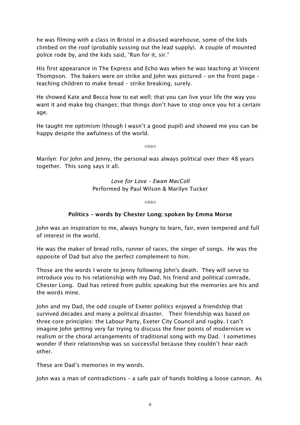he was filming with a class in Bristol in a disused warehouse, some of the kids climbed on the roof (probably sussing out the lead supply). A couple of mounted police rode by, and the kids said, "Run for it, sir."

His first appearance in The Express and Echo was when he was teaching at Vincent Thompson. The bakers were on strike and John was pictured – on the front page – teaching children to make bread – strike breaking, surely.

He showed Kate and Becca how to eat well; that you can live your life the way you want it and make big changes; that things don't have to stop once you hit a certain age.

He taught me optimism (though I wasn't a good pupil) and showed me you can be happy despite the awfulness of the world.

 $\alpha$ 

Marilyn: For John and Jenny, the personal was always political over their 48 years together. This song says it all.

> *Love for Love – Ewan MacColl* Performed by Paul Wilson & Marilyn Tucker

> > Control

# Politics – words by Chester Long; spoken by Emma Morse

John was an inspiration to me, always hungry to learn, fair, even tempered and full of interest in the world.

He was the maker of bread rolls, runner of races, the singer of songs. He was the opposite of Dad but also the perfect complement to him.

Those are the words I wrote to Jenny following John's death. They will serve to introduce you to his relationship with my Dad, his friend and political comrade, Chester Long. Dad has retired from public speaking but the memories are his and the words mine.

John and my Dad, the odd couple of Exeter politics enjoyed a friendship that survived decades and many a political disaster. Their friendship was based on three core principles: the Labour Party, Exeter City Council and rugby. I can't imagine John getting very far trying to discuss the finer points of modernism vs realism or the choral arrangements of traditional song with my Dad. I sometimes wonder if their relationship was so successful because they couldn't hear each other.

These are Dad's memories in my words.

John was a man of contradictions – a safe pair of hands holding a loose cannon. As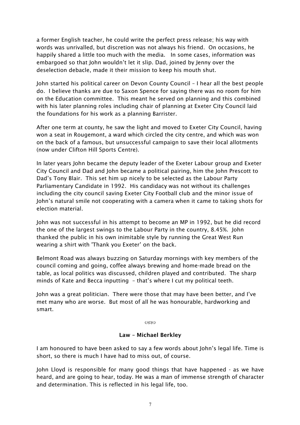a former English teacher, he could write the perfect press release; his way with words was unrivalled, but discretion was not always his friend. On occasions, he happily shared a little too much with the media. In some cases, information was embargoed so that John wouldn't let it slip. Dad, joined by Jenny over the deselection debacle, made it their mission to keep his mouth shut.

John started his political career on Devon County Council – I hear all the best people do. I believe thanks are due to Saxon Spence for saying there was no room for him on the Education committee. This meant he served on planning and this combined with his later planning roles including chair of planning at Exeter City Council laid the foundations for his work as a planning Barrister.

After one term at county, he saw the light and moved to Exeter City Council, having won a seat in Rougemont, a ward which circled the city centre, and which was won on the back of a famous, but unsuccessful campaign to save their local allotments (now under Clifton Hill Sports Centre).

In later years John became the deputy leader of the Exeter Labour group and Exeter City Council and Dad and John became a political pairing, him the John Prescott to Dad's Tony Blair. This set him up nicely to be selected as the Labour Party Parliamentary Candidate in 1992. His candidacy was not without its challenges including the city council saving Exeter City Football club and the minor issue of John's natural smile not cooperating with a camera when it came to taking shots for election material.

John was not successful in his attempt to become an MP in 1992, but he did record the one of the largest swings to the Labour Party in the country, 8.45%. John thanked the public in his own inimitable style by running the Great West Run wearing a shirt with 'Thank you Exeter' on the back.

Belmont Road was always buzzing on Saturday mornings with key members of the council coming and going, coffee always brewing and home-made bread on the table, as local politics was discussed, children played and contributed. The sharp minds of Kate and Becca inputting – that's where I cut my political teeth.

John was a great politician. There were those that may have been better, and I've met many who are worse. But most of all he was honourable, hardworking and smart.

 $C<sub>4</sub>$ 

#### Law – Michael Berkley

I am honoured to have been asked to say a few words about John's legal life. Time is short, so there is much I have had to miss out, of course.

John Lloyd is responsible for many good things that have happened - as we have heard, and are going to hear, today. He was a man of immense strength of character and determination. This is reflected in his legal life, too.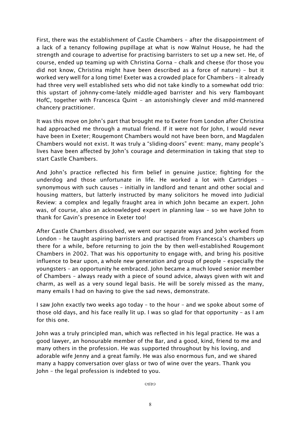First, there was the establishment of Castle Chambers – after the disappointment of a lack of a tenancy following pupillage at what is now Walnut House, he had the strength and courage to advertise for practising barristers to set up a new set. He, of course, ended up teaming up with Christina Gorna – chalk and cheese (for those you did not know, Christina might have been described as a force of nature) – but it worked very well for a long time! Exeter was a crowded place for Chambers – it already had three very well established sets who did not take kindly to a somewhat odd trio: this upstart of johnny-come-lately middle-aged barrister and his very flamboyant HofC, together with Francesca Quint – an astonishingly clever and mild-mannered chancery practitioner.

It was this move on John's part that brought me to Exeter from London after Christina had approached me through a mutual friend. If it were not for John, I would never have been in Exeter; Rougemont Chambers would not have been born, and Magdalen Chambers would not exist. It was truly a "sliding-doors" event: many, many people's lives have been affected by John's courage and determination in taking that step to start Castle Chambers.

And John's practice reflected his firm belief in genuine justice; fighting for the underdog and those unfortunate in life. He worked a lot with Cartridges – synonymous with such causes – initially in landlord and tenant and other social and housing matters, but latterly instructed by many solicitors he moved into Judicial Review: a complex and legally fraught area in which John became an expert. John was, of course, also an acknowledged expert in planning law – so we have John to thank for Gavin's presence in Exeter too!

After Castle Chambers dissolved, we went our separate ways and John worked from London – he taught aspiring barristers and practised from Francesca's chambers up there for a while, before returning to join the by then well-established Rougemont Chambers in 2002. That was his opportunity to engage with, and bring his positive influence to bear upon, a whole new generation and group of people – especially the youngsters – an opportunity he embraced. John became a much loved senior member of Chambers – always ready with a piece of sound advice, always given with wit and charm, as well as a very sound legal basis. He will be sorely missed as the many, many emails I had on having to give the sad news, demonstrate.

I saw John exactly two weeks ago today – to the hour – and we spoke about some of those old days, and his face really lit up. I was so glad for that opportunity – as I am for this one.

John was a truly principled man, which was reflected in his legal practice. He was a good lawyer, an honourable member of the Bar, and a good, kind, friend to me and many others in the profession. He was supported throughout by his loving, and adorable wife Jenny and a great family. He was also enormous fun, and we shared many a happy conversation over glass or two of wine over the years. Thank you John – the legal profession is indebted to you.

 $C(X)$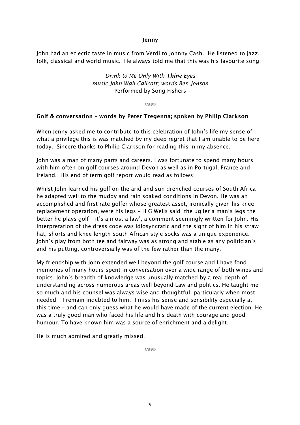#### Jenny

John had an eclectic taste in music from Verdi to Johnny Cash. He listened to jazz, folk, classical and world music. He always told me that this was his favourite song:

> *Drink to Me Only With Thine Eyes music John Wall Callcott; words Ben Jonson* Performed by Song Fishers

> > (**KN**

#### Golf & conversation – words by Peter Tregenna; spoken by Philip Clarkson

When Jenny asked me to contribute to this celebration of John's life my sense of what a privilege this is was matched by my deep regret that I am unable to be here today. Sincere thanks to Philip Clarkson for reading this in my absence.

John was a man of many parts and careers. I was fortunate to spend many hours with him often on golf courses around Devon as well as in Portugal, France and Ireland. His end of term golf report would read as follows:

Whilst John learned his golf on the arid and sun drenched courses of South Africa he adapted well to the muddy and rain soaked conditions in Devon. He was an accomplished and first rate golfer whose greatest asset, ironically given his knee replacement operation, were his legs – H G Wells said 'the uglier a man's legs the better he plays golf – it's almost a law', a comment seemingly written for John. His interpretation of the dress code was idiosyncratic and the sight of him in his straw hat, shorts and knee length South African style socks was a unique experience. John's play from both tee and fairway was as strong and stable as any politician's and his putting, controversially was of the few rather than the many.

My friendship with John extended well beyond the golf course and I have fond memories of many hours spent in conversation over a wide range of both wines and topics. John's breadth of knowledge was unusually matched by a real depth of understanding across numerous areas well beyond Law and politics. He taught me so much and his counsel was always wise and thoughtful, particularly when most needed – I remain indebted to him. I miss his sense and sensibility especially at this time – and can only guess what he would have made of the current election. He was a truly good man who faced his life and his death with courage and good humour. To have known him was a source of enrichment and a delight.

He is much admired and greatly missed.

 $C(X)$